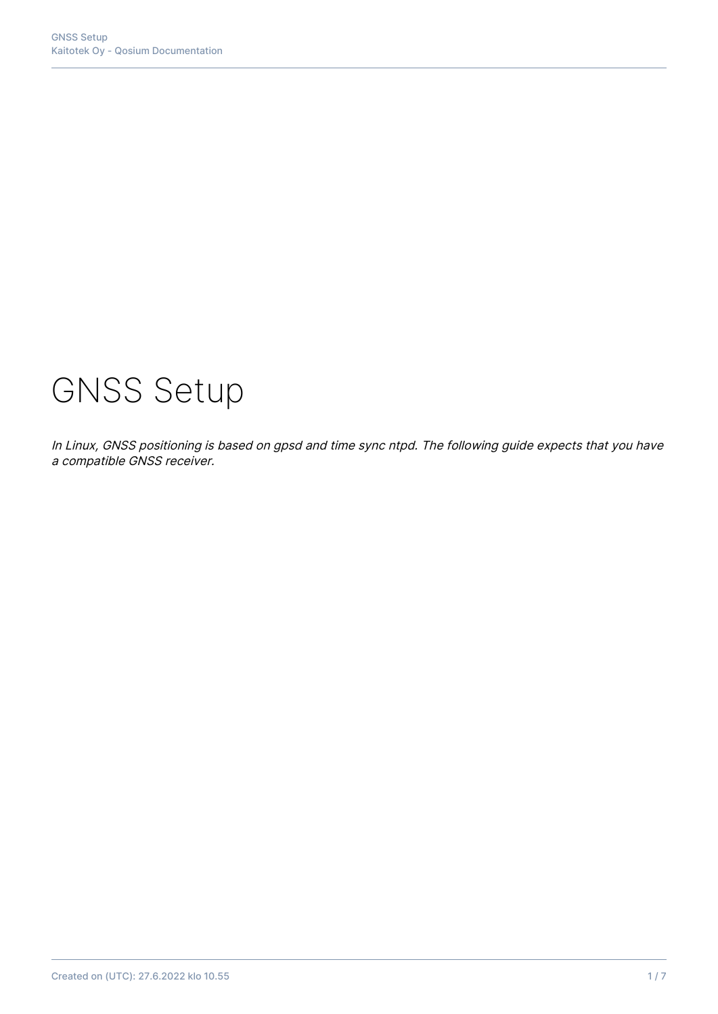# GNSS Setup

In Linux, GNSS positioning is based on gpsd and time sync ntpd. The following guide expects that you have a compatible GNSS receiver.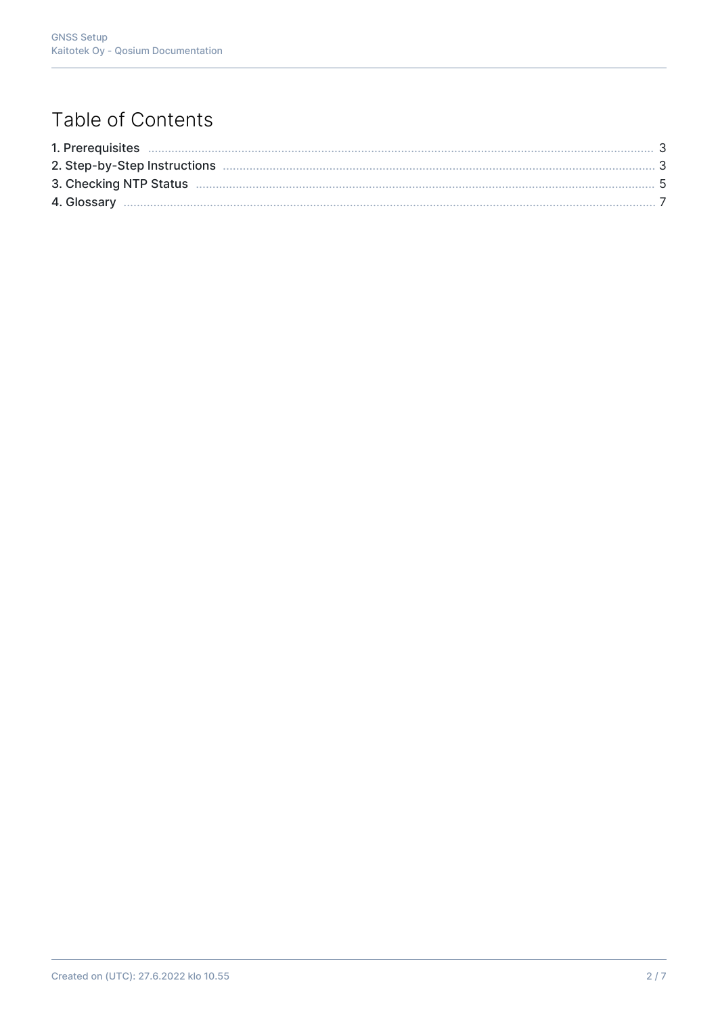# Table of Contents

| 1. Prerequisites |  |
|------------------|--|
|                  |  |
|                  |  |
|                  |  |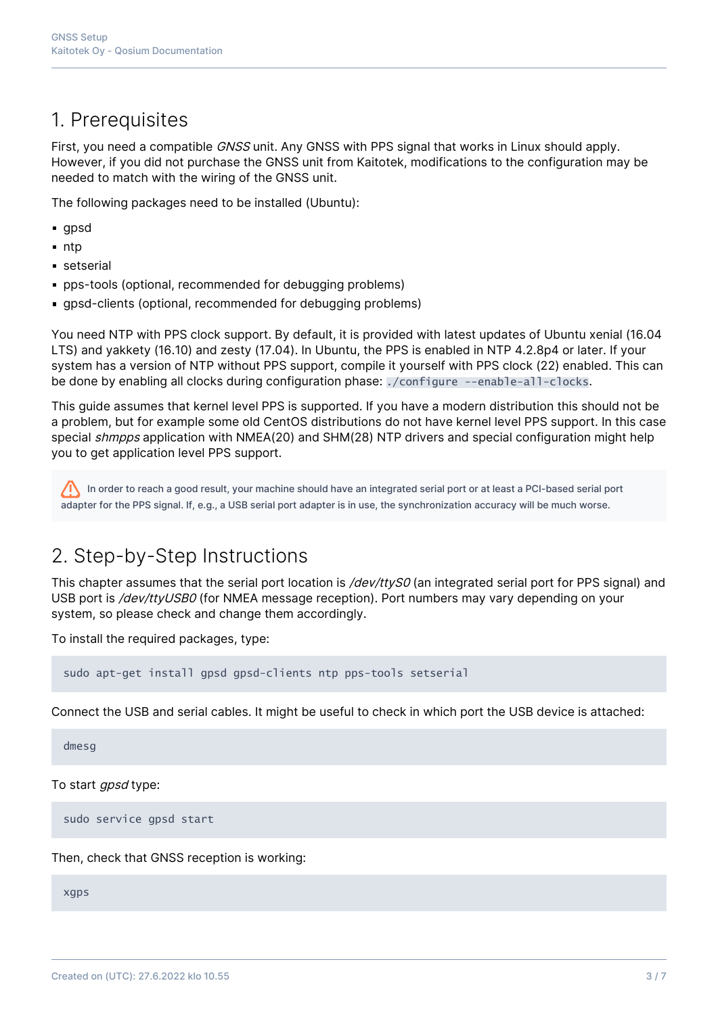## 1. Prerequisites

First, you need a compatible GNSS unit. Any GNSS with PPS signal that works in Linux should apply. However, if you did not purchase the GNSS unit from Kaitotek, modifications to the configuration may be needed to match with the wiring of the GNSS unit.

The following packages need to be installed (Ubuntu):

- **gpsd**
- $n$ ntp
- setserial
- **particular** bps-tools (optional, recommended for debugging problems)
- gpsd-clients (optional, recommended for debugging problems)

You need NTP with PPS clock support. By default, it is provided with latest updates of Ubuntu xenial (16.04 LTS) and yakkety (16.10) and zesty (17.04). In Ubuntu, the PPS is enabled in NTP 4.2.8p4 or later. If your system has a version of NTP without PPS support, compile it yourself with PPS clock (22) enabled. This can be done by enabling all clocks during configuration phase: ./configure --enable-all-clocks.

This guide assumes that kernel level PPS is supported. If you have a modern distribution this should not be a problem, but for example some old CentOS distributions do not have kernel level PPS support. In this case special shmpps application with NMEA(20) and SHM(28) NTP drivers and special configuration might help you to get application level PPS support.

In order to reach a good result, your machine should have an integrated serial port or at least a PCI-based serial port adapter for the PPS signal. If, e.g., a USB serial port adapter is in use, the synchronization accuracy will be much worse.

# 2. Step-by-Step Instructions

This chapter assumes that the serial port location is /dev/ttyS0 (an integrated serial port for PPS signal) and USB port is /dev/ttyUSB0 (for NMEA message reception). Port numbers may vary depending on your system, so please check and change them accordingly.

To install the required packages, type:

sudo apt-get install gpsd gpsd-clients ntp pps-tools setserial

Connect the USB and serial cables. It might be useful to check in which port the USB device is attached:

dmesg

To start *apsd* type:

sudo service gpsd start

Then, check that GNSS reception is working:

xgps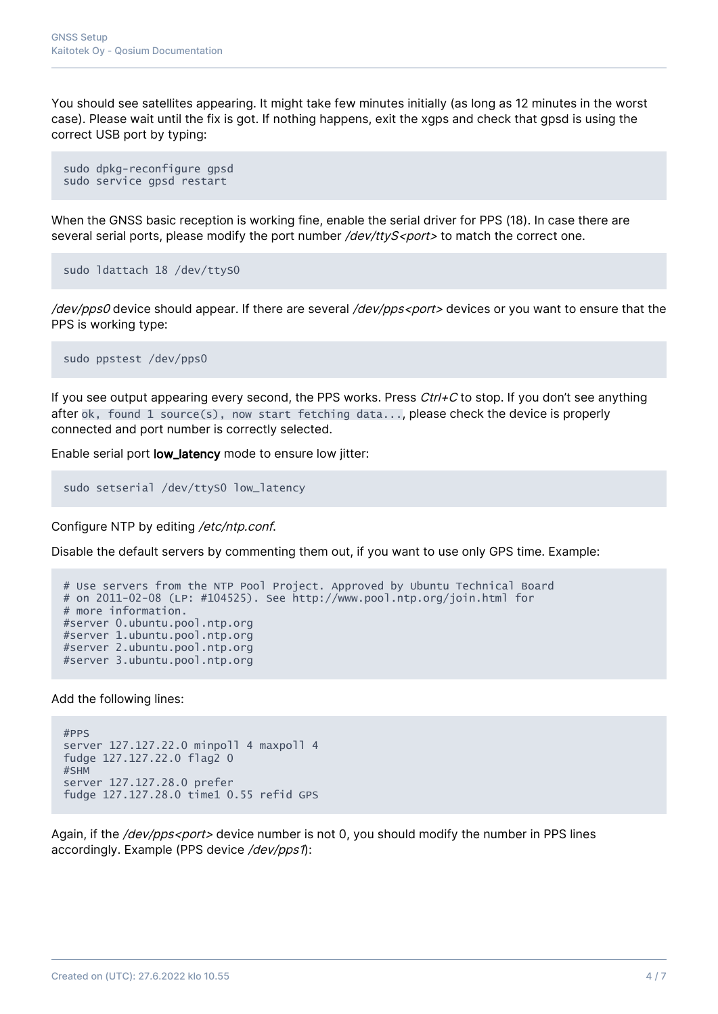You should see satellites appearing. It might take few minutes initially (as long as 12 minutes in the worst case). Please wait until the fix is got. If nothing happens, exit the xgps and check that gpsd is using the correct USB port by typing:

```
sudo dpkg-reconfigure gpsd
sudo service gpsd restart
```
When the GNSS basic reception is working fine, enable the serial driver for PPS (18). In case there are several serial ports, please modify the port number /dev/ttyS<port> to match the correct one.

```
sudo ldattach 18 /dev/ttyS0
```
/dev/pps0 device should appear. If there are several /dev/pps<port> devices or you want to ensure that the PPS is working type:

sudo ppstest /dev/pps0

If you see output appearing every second, the PPS works. Press  $Ctrl + C$  to stop. If you don't see anything after ok, found 1 source(s), now start fetching data..., please check the device is properly connected and port number is correctly selected.

Enable serial port low\_latency mode to ensure low jitter:

```
sudo setserial /dev/ttyS0 low_latency
```
Configure NTP by editing /etc/ntp.conf.

Disable the default servers by commenting them out, if you want to use only GPS time. Example:

```
# Use servers from the NTP Pool Project. Approved by Ubuntu Technical Board
# on 2011-02-08 (LP: #104525). See http://www.pool.ntp.org/join.html for
# more information.
#server 0.ubuntu.pool.ntp.org
#server 1.ubuntu.pool.ntp.org
#server 2.ubuntu.pool.ntp.org
#server 3.ubuntu.pool.ntp.org
```
Add the following lines:

```
#PPS
server 127.127.22.0 minpoll 4 maxpoll 4
fudge 127.127.22.0 flag2 0
#SHM
server 127.127.28.0 prefer
fudge 127.127.28.0 time1 0.55 refid GPS
```
Again, if the /dev/pps<port> device number is not 0, you should modify the number in PPS lines accordingly. Example (PPS device /dev/pps1):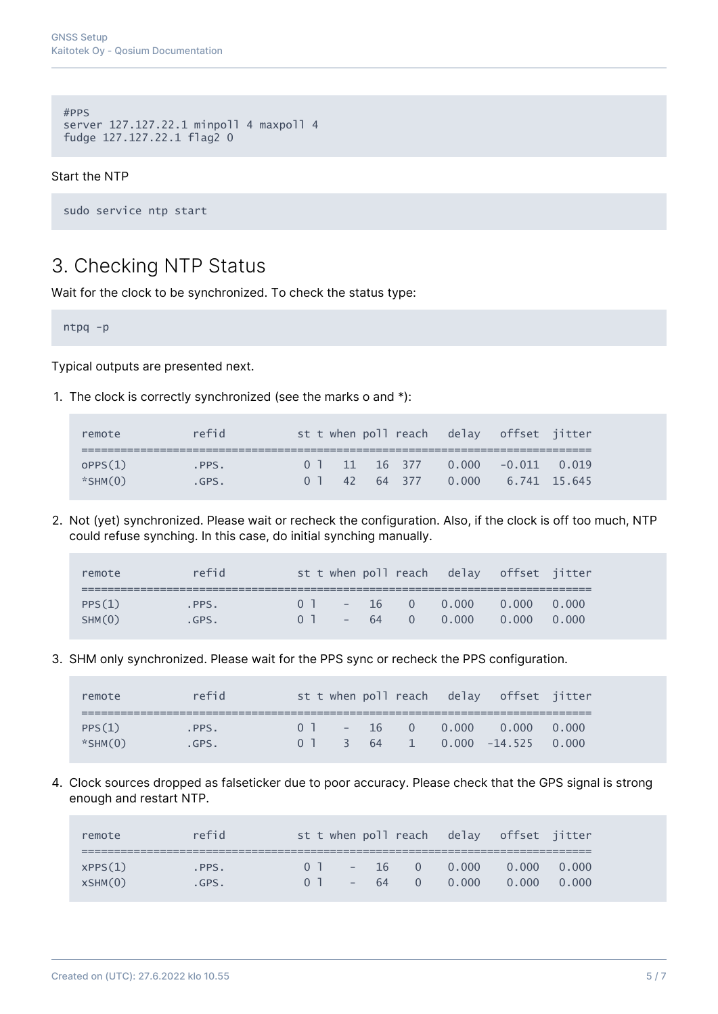```
#PPS
server 127.127.22.1 minpoll 4 maxpoll 4
fudge 127.127.22.1 flag2 0
```
#### Start the NTP

sudo service ntp start

## 3. Checking NTP Status

Wait for the clock to be synchronized. To check the status type:

ntpq -p

Typical outputs are presented next.

1. The clock is correctly synchronized (see the marks o and \*):

| remote                   | refid             |  |                |  | st t when poll reach delay offset jitter                           |  |
|--------------------------|-------------------|--|----------------|--|--------------------------------------------------------------------|--|
| OPPS(1)<br>$*$ SHM $(0)$ | $-$ PPS.<br>.GPS. |  | 0 <sup>1</sup> |  | $0$ 1 11 16 377 0.000 -0.011 0.019<br>42 64 377 0.000 6.741 15.645 |  |

2. Not (yet) synchronized. Please wait or recheck the configuration. Also, if the clock is off too much, NTP could refuse synching. In this case, do initial synching manually.

| remote           | refid         |                                  |  | st t when poll reach delay offset jitter |                           |       |
|------------------|---------------|----------------------------------|--|------------------------------------------|---------------------------|-------|
| PPS(1)<br>SHM(0) | PPS.<br>.GPS. | 0 <sup>1</sup><br>0 <sup>1</sup> |  | $-16$ 0 0.000<br>$-64$ 0 0.000           | $0.000 \t 0.000$<br>0.000 | 0.000 |

3. SHM only synchronized. Please wait for the PPS sync or recheck the PPS configuration.

| remote        | refid |                |  |  | st t when poll reach delay offset jitter |  |
|---------------|-------|----------------|--|--|------------------------------------------|--|
|               |       |                |  |  |                                          |  |
| PPS(1)        | PPS.  | 0 <sup>1</sup> |  |  | $-16$ 0 0.000 0.000 0.000                |  |
| $*$ SHM $(0)$ | .GPS. |                |  |  | $0$ 1 3 64 1 0.000 -14.525 0.000         |  |

4. Clock sources dropped as falseticker due to poor accuracy. Please check that the GPS signal is strong enough and restart NTP.

| remote             | refid         |                                  |  | st t when poll reach delay offset jitter |                               |       |
|--------------------|---------------|----------------------------------|--|------------------------------------------|-------------------------------|-------|
| XPPS(1)<br>XSHM(0) | .PPS.<br>GPS. | 0 <sup>1</sup><br>0 <sup>1</sup> |  | $-16$ 0 0.000<br>$-64$ 0 0.000           | $0.000 \qquad 0.000$<br>0.000 | 0.000 |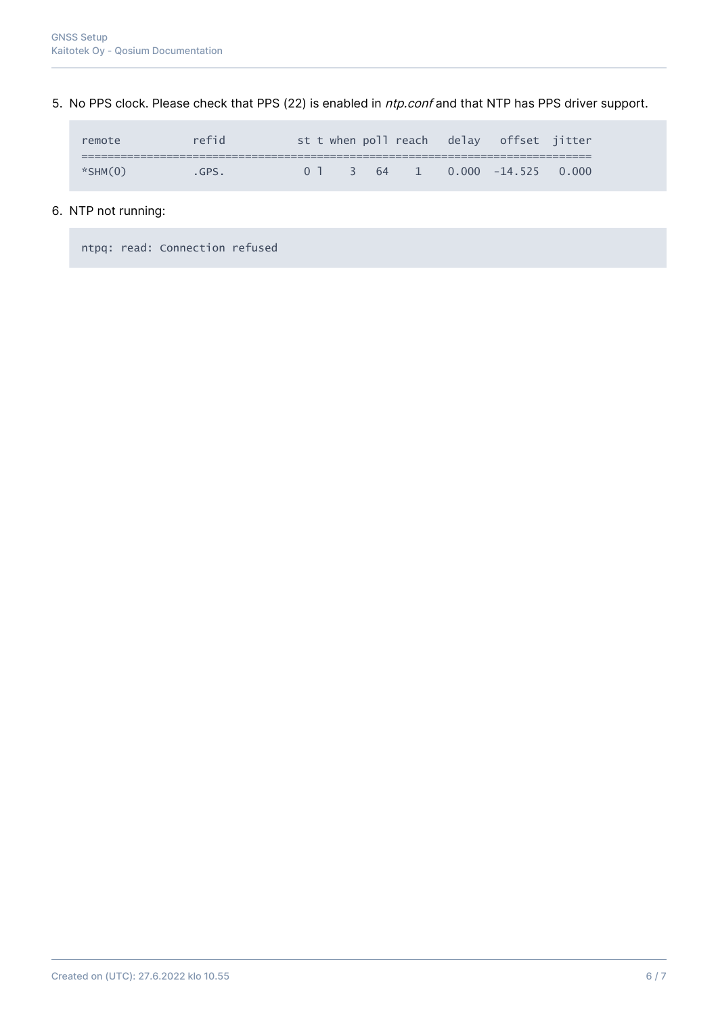5. No PPS clock. Please check that PPS (22) is enabled in *ntp.conf* and that NTP has PPS driver support.

| remote        | refid |  |  |  | st t when poll reach delay offset jitter |  |
|---------------|-------|--|--|--|------------------------------------------|--|
|               |       |  |  |  |                                          |  |
| $*$ SHM $(0)$ | GPS.  |  |  |  | $0$ 1 3 64 1 0.000 -14.525 0.000         |  |

#### 6. NTP not running:

ntpq: read: Connection refused